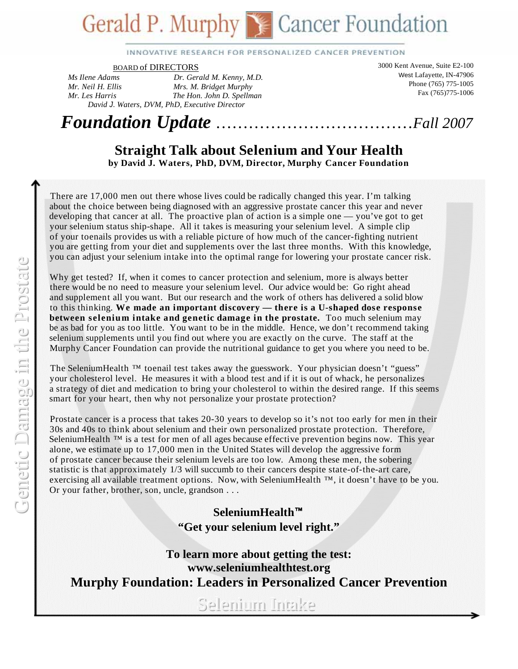# **Gerald P. Murphy Cancer Foundation**

INNOVATIVE RESEARCH FOR PERSONALIZED CANCER PREVENTION

BOARD of DIRECTORS

*Ms Ilene Adams Dr. Gerald M. Kenny, M.D. Mr. Neil H. Ellis Mrs. M. Bridget Murphy Mr. Les Harris The Hon. John D. Spellman David J*. *Waters, DVM, PhD, Executive Director* 

3000 Kent Avenue, Suite E2-100 West Lafayette, IN-47906 Phone (765) 775-1005 Fax (765)775-1006

*Foundation Update* ………………………………*Fall 2007* 

#### **Straight Talk about Selenium and Your Health by David J. Waters, PhD, DVM, Director, Murphy Cancer Foundation**

 There are 17,000 men out there whose lives could be radically changed this year. I'm talking about the choice between being diagnosed with an aggressive prostate cancer this year and never developing that cancer at all. The proactive plan of action is a simple one — you've got to get your selenium status ship-shape. All it takes is measuring your selenium level. A simple clip of your toenails provides us with a reliable picture of how much of the cancer-fighting nutrient you are getting from your diet and supplements over the last three months. With this knowledge, you can adjust your selenium intake into the optimal range for lowering your prostate cancer risk.

Why get tested? If, when it comes to cancer protection and selenium, more is always better there would be no need to measure your selenium level. Our advice would be: Go right ahead and supplement all you want. But our research and the work of others has delivered a solid blow to this thinking. **We made an important discovery — there is a U-shaped dose response between selenium intake and genetic damage in the prostate.** Too much selenium may be as bad for you as too little. You want to be in the middle. Hence, we don't recommend taking selenium supplements until you find out where you are exactly on the curve. The staff at the Murphy Cancer Foundation can provide the nutritional guidance to get you where you need to be.

The Selenium Health  $TM$  toenail test takes away the guesswork. Your physician doesn't "guess" your cholesterol level. He measures it with a blood test and if it is out of whack, he personalizes a strategy of diet and medication to bring your cholesterol to within the desired range. If this seems smart for your heart, then why not personalize your prostate protection?

 Prostate cancer is a process that takes 20-30 years to develop so it's not too early for men in their 30s and 40s to think about selenium and their own personalized prostate protection. Therefore, Selenium Health  $TM$  is a test for men of all ages because effective prevention begins now. This year alone, we estimate up to 17,000 men in the United States will develop the aggressive form of prostate cancer because their selenium levels are too low. Among these men, the sobering statistic is that approximately 1/3 will succumb to their cancers despite state-of-the-art care, exercising all available treatment options. Now, with SeleniumHealth ™, it doesn't have to be you. Or your father, brother, son, uncle, grandson . . .

> **SeleniumHealth "Get your selenium level right."**

**To learn more about getting the test: www.seleniumhealthtest.org Murphy Foundation: Leaders in Personalized Cancer Prevention** 

Selenium Intake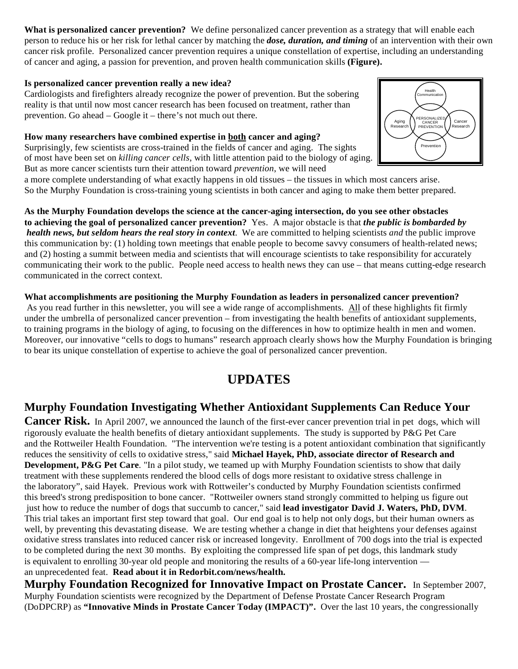**What is personalized cancer prevention?** We define personalized cancer prevention as a strategy that will enable each person to reduce his or her risk for lethal cancer by matching the *dose, duration, and timing* of an intervention with their own cancer risk profile. Personalized cancer prevention requires a unique constellation of expertise, including an understanding of cancer and aging, a passion for prevention, and proven health communication skills **(Figure).** 

#### **Is personalized cancer prevention really a new idea?**

Cardiologists and firefighters already recognize the power of prevention. But the sobering reality is that until now most cancer research has been focused on treatment, rather than prevention. Go ahead – Google it – there's not much out there.

**How many researchers have combined expertise in both cancer and aging?** 

Surprisingly, few scientists are cross-trained in the fields of cancer and aging. The sights of most have been set on *killing cancer cells*, with little attention paid to the biology of aging. But as more cancer scientists turn their attention toward *prevention*, we will need

a more complete understanding of what exactly happens in old tissues – the tissues in which most cancers arise. So the Murphy Foundation is cross-training young scientists in both cancer and aging to make them better prepared.

**As the Murphy Foundation develops the science at the cancer-aging intersection, do you see other obstacles to achieving the goal of personalized cancer prevention?** Yes. A major obstacle is that *the public is bombarded by health news, but seldom hears the real story in context*. We are committed to helping scientists *and* the public improve this communication by: (1) holding town meetings that enable people to become savvy consumers of health-related news; and (2) hosting a summit between media and scientists that will encourage scientists to take responsibility for accurately communicating their work to the public. People need access to health news they can use – that means cutting-edge research communicated in the correct context.

**What accomplishments are positioning the Murphy Foundation as leaders in personalized cancer prevention?** As you read further in this newsletter, you will see a wide range of accomplishments. All of these highlights fit firmly under the umbrella of personalized cancer prevention – from investigating the health benefits of antioxidant supplements, to training programs in the biology of aging, to focusing on the differences in how to optimize health in men and women. Moreover, our innovative "cells to dogs to humans" research approach clearly shows how the Murphy Foundation is bringing to bear its unique constellation of expertise to achieve the goal of personalized cancer prevention.

## **UPDATES**

## **Murphy Foundation Investigating Whether Antioxidant Supplements Can Reduce Your**

**Cancer Risk.** In April 2007, we announced the launch of the first-ever cancer prevention trial in pet dogs, which will rigorously evaluate the health benefits of dietary antioxidant supplements. The study is supported by P&G Pet Care and the Rottweiler Health Foundation. "The intervention we're testing is a potent antioxidant combination that significantly reduces the sensitivity of cells to oxidative stress," said **Michael Hayek, PhD, associate director of Research and Development, P&G Pet Care**. "In a pilot study, we teamed up with Murphy Foundation scientists to show that daily treatment with these supplements rendered the blood cells of dogs more resistant to oxidative stress challenge in the laboratory", said Hayek. Previous work with Rottweiler's conducted by Murphy Foundation scientists confirmed this breed's strong predisposition to bone cancer. "Rottweiler owners stand strongly committed to helping us figure out just how to reduce the number of dogs that succumb to cancer," said **lead investigator David J. Waters, PhD, DVM**. This trial takes an important first step toward that goal. Our end goal is to help not only dogs, but their human owners as well, by preventing this devastating disease. We are testing whether a change in diet that heightens your defenses against oxidative stress translates into reduced cancer risk or increased longevity. Enrollment of 700 dogs into the trial is expected to be completed during the next 30 months. By exploiting the compressed life span of pet dogs, this landmark study is equivalent to enrolling 30-year old people and monitoring the results of a 60-year life-long intervention an unprecedented feat. **Read about it in Redorbit.com/news/health.** 

**Murphy Foundation Recognized for Innovative Impact on Prostate Cancer.** In September 2007, Murphy Foundation scientists were recognized by the Department of Defense Prostate Cancer Research Program (DoDPCRP) as **"Innovative Minds in Prostate Cancer Today (IMPACT)".** Over the last 10 years, the congressionally

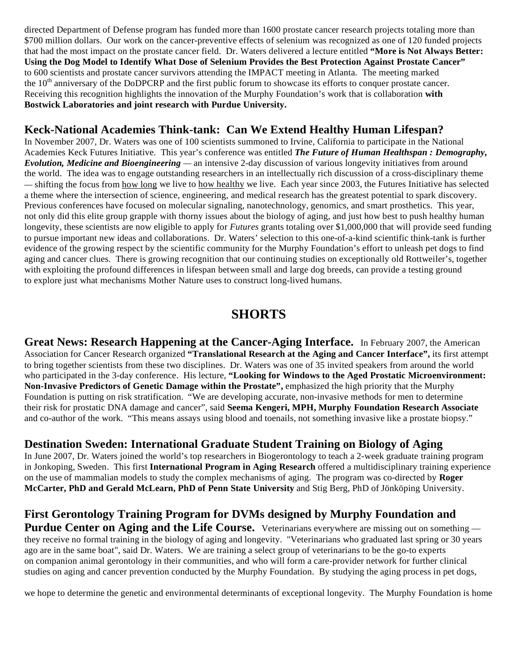directed Department of Defense program has funded more than 1600 prostate cancer research projects totaling more than \$700 million dollars. Our work on the cancer-preventive effects of selenium was recognized as one of 120 funded projects that had the most impact on the prostate cancer field. Dr. Waters delivered a lecture entitled **"More is Not Always Better: Using the Dog Model to Identify What Dose of Selenium Provides the Best Protection Against Prostate Cancer"** to 600 scientists and prostate cancer survivors attending the IMPACT meeting in Atlanta. The meeting marked the  $10<sup>th</sup>$  anniversary of the DoDPCRP and the first public forum to showcase its efforts to conquer prostate cancer. Receiving this recognition highlights the innovation of the Murphy Foundation's work that is collaboration **with Bostwick Laboratories and joint research with Purdue University.** 

### **Keck-National Academies Think-tank: Can We Extend Healthy Human Lifespan?**

In November 2007, Dr. Waters was one of 100 scientists summoned to Irvine, California to participate in the National Academies Keck Futures Initiative. This year's conference was entitled *The Future of Human Healthspan : Demography, Evolution, Medicine and Bioengineering —* an intensive 2-day discussion of various longevity initiatives from around the world. The idea was to engage outstanding researchers in an intellectually rich discussion of a cross-disciplinary theme *—* shifting the focus from how long we live to how healthy we live. Each year since 2003, the Futures Initiative has selected a theme where the intersection of science, engineering, and medical research has the greatest potential to spark discovery. Previous conferences have focused on molecular signaling, nanotechnology, genomics, and smart prosthetics. This year, not only did this elite group grapple with thorny issues about the biology of aging, and just how best to push healthy human longevity, these scientists are now eligible to apply for *Futures* grants totaling over \$1,000,000 that will provide seed funding to pursue important new ideas and collaborations. Dr. Waters' selection to this one-of-a-kind scientific think-tank is further evidence of the growing respect by the scientific community for the Murphy Foundation's effort to unleash pet dogs to find aging and cancer clues. There is growing recognition that our continuing studies on exceptionally old Rottweiler's, together with exploiting the profound differences in lifespan between small and large dog breeds, can provide a testing ground to explore just what mechanisms Mother Nature uses to construct long-lived humans.

# **SHORTS**

**Great News: Research Happening at the Cancer-Aging Interface.** In February 2007, the American Association for Cancer Research organized **"Translational Research at the Aging and Cancer Interface",** its first attempt to bring together scientists from these two disciplines. Dr. Waters was one of 35 invited speakers from around the world who participated in the 3-day conference. His lecture, **"Looking for Windows to the Aged Prostatic Microenvironment: Non-Invasive Predictors of Genetic Damage within the Prostate",** emphasized the high priority that the Murphy Foundation is putting on risk stratification. "We are developing accurate, non-invasive methods for men to determine their risk for prostatic DNA damage and cancer", said **Seema Kengeri, MPH, Murphy Foundation Research Associate**  and co-author of the work. "This means assays using blood and toenails, not something invasive like a prostate biopsy."

## **Destination Sweden: International Graduate Student Training on Biology of Aging**

In June 2007, Dr. Waters joined the world's top researchers in Biogerontology to teach a 2-week graduate training program in Jonkoping, Sweden. This first **International Program in Aging Research** offered a multidisciplinary training experience on the use of mammalian models to study the complex mechanisms of aging. The program was co-directed by **Roger McCarter, PhD and Gerald McLearn, PhD of Penn State University** and Stig Berg, PhD of Jönköping University.

# **First Gerontology Training Program for DVMs designed by Murphy Foundation and**

**Purdue Center on Aging and the Life Course.** Veterinarians everywhere are missing out on something they receive no formal training in the biology of aging and longevity. "Veterinarians who graduated last spring or 30 years ago are in the same boat", said Dr. Waters. We are training a select group of veterinarians to be the go-to experts on companion animal gerontology in their communities, and who will form a care-provider network for further clinical studies on aging and cancer prevention conducted by the Murphy Foundation. By studying the aging process in pet dogs,

we hope to determine the genetic and environmental determinants of exceptional longevity. The Murphy Foundation is home